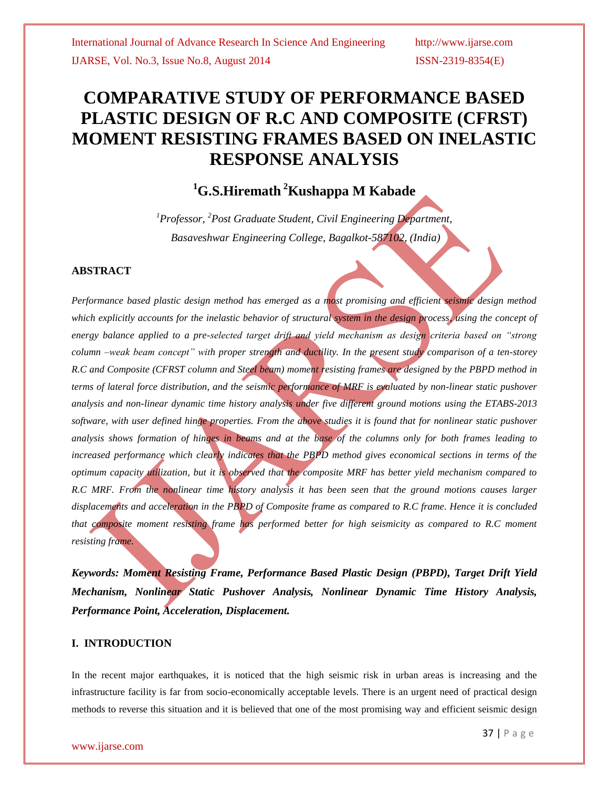# **COMPARATIVE STUDY OF PERFORMANCE BASED PLASTIC DESIGN OF R.C AND COMPOSITE (CFRST) MOMENT RESISTING FRAMES BASED ON INELASTIC RESPONSE ANALYSIS**

# **<sup>1</sup>G.S.Hiremath <sup>2</sup>Kushappa M Kabade**

*<sup>1</sup>Professor, <sup>2</sup>Post Graduate Student, Civil Engineering Department, Basaveshwar Engineering College, Bagalkot-587102, (India)*

## **ABSTRACT**

*Performance based plastic design method has emerged as a most promising and efficient seismic design method which explicitly accounts for the inelastic behavior of structural system in the design process, using the concept of energy balance applied to a pre-selected target drift and yield mechanism as design criteria based on "strong column –weak beam concept" with proper strength and ductility. In the present study comparison of a ten-storey R.C and Composite (CFRST column and Steel beam) moment resisting frames are designed by the PBPD method in terms of lateral force distribution, and the seismic performance of MRF is evaluated by non-linear static pushover analysis and non-linear dynamic time history analysis under five different ground motions using the ETABS-2013 software, with user defined hinge properties. From the above studies it is found that for nonlinear static pushover analysis shows formation of hinges in beams and at the base of the columns only for both frames leading to increased performance which clearly indicates that the PBPD method gives economical sections in terms of the optimum capacity utilization, but it is observed that the composite MRF has better yield mechanism compared to R.C MRF. From the nonlinear time history analysis it has been seen that the ground motions causes larger displacements and acceleration in the PBPD of Composite frame as compared to R.C frame. Hence it is concluded that composite moment resisting frame has performed better for high seismicity as compared to R.C moment resisting frame.*

*Keywords: Moment Resisting Frame, Performance Based Plastic Design (PBPD), Target Drift Yield Mechanism, Nonlinear Static Pushover Analysis, Nonlinear Dynamic Time History Analysis, Performance Point, Acceleration, Displacement.*

## **I. INTRODUCTION**

In the recent major earthquakes, it is noticed that the high seismic risk in urban areas is increasing and the infrastructure facility is far from socio-economically acceptable levels. There is an urgent need of practical design methods to reverse this situation and it is believed that one of the most promising way and efficient seismic design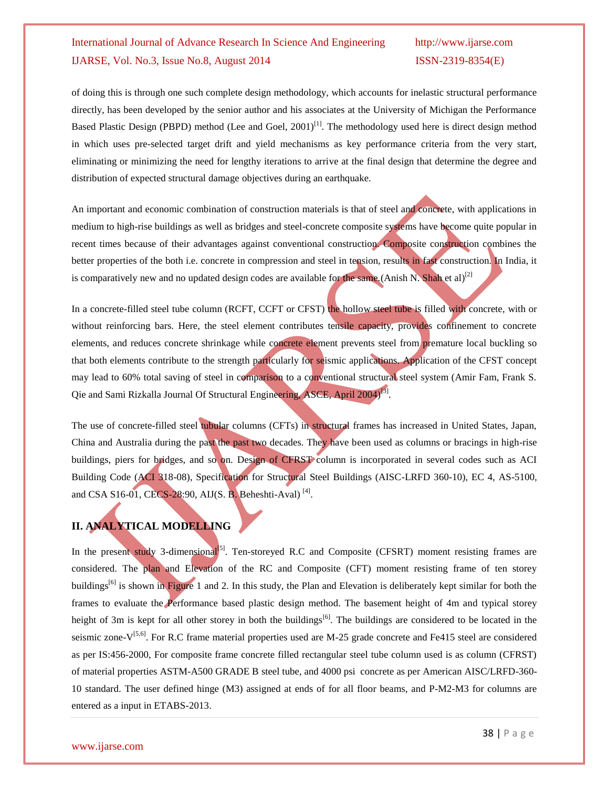of doing this is through one such complete design methodology, which accounts for inelastic structural performance directly, has been developed by the senior author and his associates at the University of Michigan the Performance Based Plastic Design (PBPD) method (Lee and Goel, 2001)<sup>[1]</sup>. The methodology used here is direct design method in which uses pre-selected target drift and yield mechanisms as key performance criteria from the very start, eliminating or minimizing the need for lengthy iterations to arrive at the final design that determine the degree and distribution of expected structural damage objectives during an earthquake.

An important and economic combination of construction materials is that of steel and concrete, with applications in medium to high-rise buildings as well as bridges and steel-concrete composite systems have become quite popular in recent times because of their advantages against conventional construction. Composite construction combines the better properties of the both i.e. concrete in compression and steel in tension, results in fast construction. In India, it is comparatively new and no updated design codes are available for the same. (Anish N. Shah et al)<sup>[2]</sup>

In a concrete-filled steel tube column (RCFT, CCFT or CFST) the hollow steel tube is filled with concrete, with or without reinforcing bars. Here, the steel element contributes tensile capacity, provides confinement to concrete elements, and reduces concrete shrinkage while concrete element prevents steel from premature local buckling so that both elements contribute to the strength particularly for seismic applications. Application of the CFST concept may lead to 60% total saving of steel in comparison to a conventional structural steel system (Amir Fam, Frank S. Qie and Sami Rizkalla Journal Of Structural Engineering, ASCE, April 2004)<sup>[3]</sup>.

The use of concrete-filled steel tubular columns (CFTs) in structural frames has increased in United States, Japan, China and Australia during the past the past two decades. They have been used as columns or bracings in high-rise buildings, piers for bridges, and so on. Design of CFRST column is incorporated in several codes such as ACI Building Code (ACI 318-08), Specification for Structural Steel Buildings (AISC-LRFD 360-10), EC 4, AS-5100, and CSA S16-01, CECS-28:90, AIJ(S. B. Beheshti-Aval)<sup>[4]</sup>.

## **II. ANALYTICAL MODELLING**

In the present study 3-dimensional<sup>[5]</sup>. Ten-storeyed R.C and Composite (CFSRT) moment resisting frames are considered. The plan and Elevation of the RC and Composite (CFT) moment resisting frame of ten storey buildings<sup>[6]</sup> is shown in Figure 1 and 2. In this study, the Plan and Elevation is deliberately kept similar for both the frames to evaluate the Performance based plastic design method. The basement height of 4m and typical storey height of 3m is kept for all other storey in both the buildings<sup>[6]</sup>. The buildings are considered to be located in the seismic zone- $V^{[5,6]}$ . For R.C frame material properties used are M-25 grade concrete and Fe415 steel are considered as per IS:456-2000, For composite frame concrete filled rectangular steel tube column used is as column (CFRST) of material properties ASTM-A500 GRADE B steel tube, and 4000 psi concrete as per American AISC/LRFD-360- 10 standard. The user defined hinge (M3) assigned at ends of for all floor beams, and P-M2-M3 for columns are entered as a input in ETABS-2013.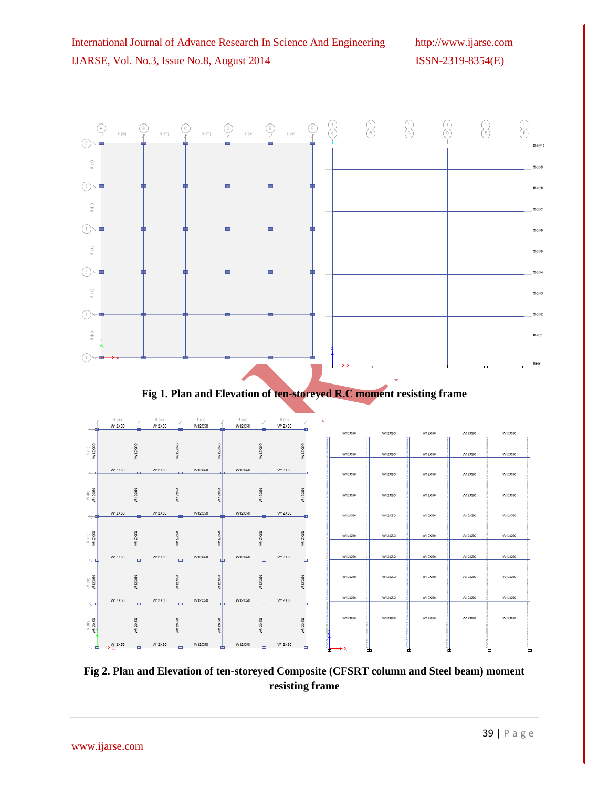

## **Fig 2. Plan and Elevation of ten-storeyed Composite (CFSRT column and Steel beam) moment resisting frame**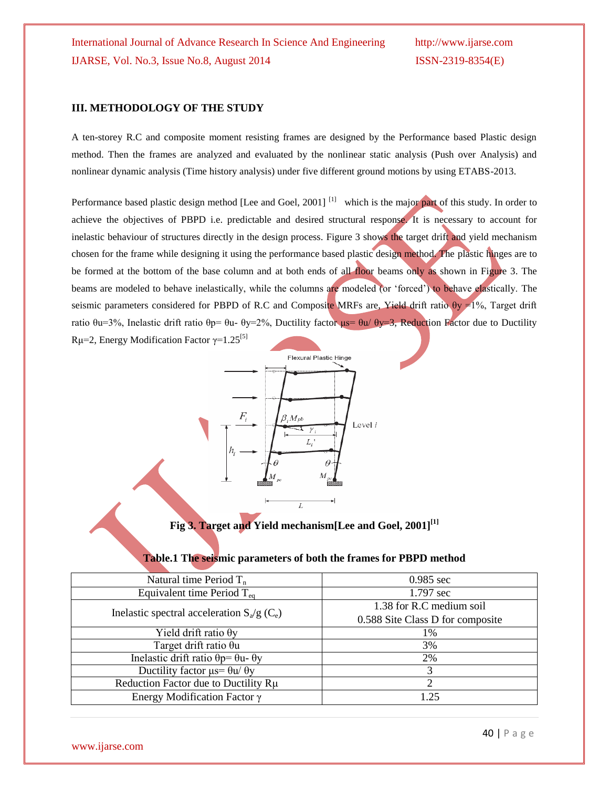## **III. METHODOLOGY OF THE STUDY**

A ten-storey R.C and composite moment resisting frames are designed by the Performance based Plastic design method. Then the frames are analyzed and evaluated by the nonlinear static analysis (Push over Analysis) and nonlinear dynamic analysis (Time history analysis) under five different ground motions by using ETABS-2013.

Performance based plastic design method [Lee and Goel, 2001]<sup>[1]</sup> which is the major part of this study. In order to achieve the objectives of PBPD i.e. predictable and desired structural response. It is necessary to account for inelastic behaviour of structures directly in the design process. Figure 3 shows the target drift and yield mechanism chosen for the frame while designing it using the performance based plastic design method. The plastic hinges are to be formed at the bottom of the base column and at both ends of all floor beams only as shown in Figure 3. The beams are modeled to behave inelastically, while the columns are modeled (or "forced") to behave elastically. The seismic parameters considered for PBPD of R.C and Composite MRFs are, Yield drift ratio θy =1%, Target drift ratio θu=3%, Inelastic drift ratio θp= θu- θy=2%, Ductility factor μs= θu/ θy=3, Reduction Factor due to Ductility Rμ=2, Energy Modification Factor  $\gamma$ =1.25<sup>[5]</sup>



**Fig 3. Target and Yield mechanism[Lee and Goel, 2001][1]** 

| $0.985$ sec                      |
|----------------------------------|
| 1.797 sec                        |
| 1.38 for R.C medium soil         |
| 0.588 Site Class D for composite |
| 1%                               |
| 3%                               |
| 2%                               |
| 3                                |
| ∍                                |
| 1.25                             |
|                                  |

#### **Table.1 The seismic parameters of both the frames for PBPD method**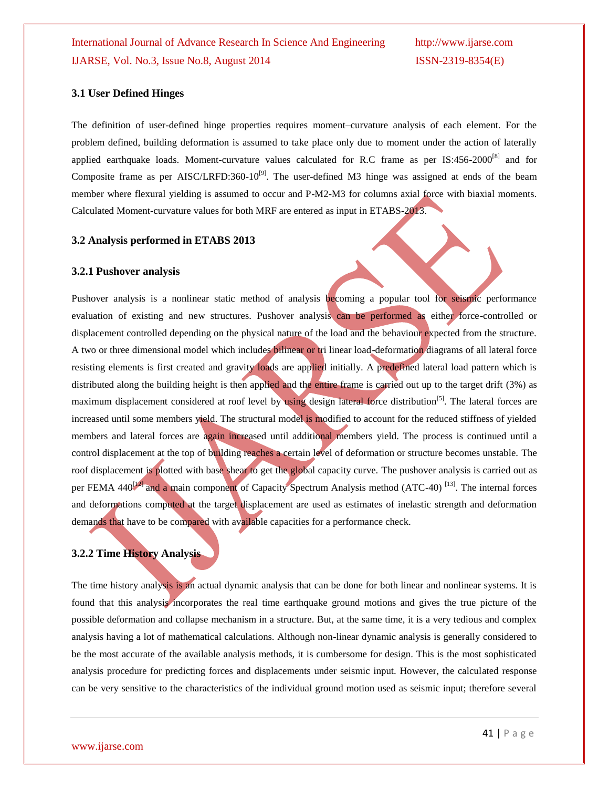#### **3.1 User Defined Hinges**

The definition of user-defined hinge properties requires moment–curvature analysis of each element. For the problem defined, building deformation is assumed to take place only due to moment under the action of laterally applied earthquake loads. Moment-curvature values calculated for R.C frame as per  $IS:456-2000^{8}$  and for Composite frame as per AISC/LRFD:360-10 $^{[9]}$ . The user-defined M3 hinge was assigned at ends of the beam member where flexural yielding is assumed to occur and P-M2-M3 for columns axial force with biaxial moments. Calculated Moment-curvature values for both MRF are entered as input in ETABS-2013.

#### **3.2 Analysis performed in ETABS 2013**

#### **3.2.1 Pushover analysis**

Pushover analysis is a nonlinear static method of analysis becoming a popular tool for seismic performance evaluation of existing and new structures. Pushover analysis can be performed as either force-controlled or displacement controlled depending on the physical nature of the load and the behaviour expected from the structure. A two or three dimensional model which includes bilinear or tri linear load-deformation diagrams of all lateral force resisting elements is first created and gravity loads are applied initially. A predefined lateral load pattern which is distributed along the building height is then applied and the entire frame is carried out up to the target drift (3%) as maximum displacement considered at roof level by using design lateral force distribution<sup>[5]</sup>. The lateral forces are increased until some members yield. The structural model is modified to account for the reduced stiffness of yielded members and lateral forces are again increased until additional members yield. The process is continued until a control displacement at the top of building reaches a certain level of deformation or structure becomes unstable. The roof displacement is plotted with base shear to get the global capacity curve. The pushover analysis is carried out as per FEMA 440<sup>[12]</sup> and a main component of Capacity Spectrum Analysis method (ATC-40)<sup>[13]</sup>. The internal forces and deformations computed at the target displacement are used as estimates of inelastic strength and deformation demands that have to be compared with available capacities for a performance check.

#### **3.2.2 Time History Analysis**

The time history analysis is an actual dynamic analysis that can be done for both linear and nonlinear systems. It is found that this analysis incorporates the real time earthquake ground motions and gives the true picture of the possible deformation and collapse mechanism in a structure. But, at the same time, it is a very tedious and complex analysis having a lot of mathematical calculations. Although non-linear dynamic analysis is generally considered to be the most accurate of the available analysis methods, it is cumbersome for design. This is the most sophisticated analysis procedure for predicting forces and displacements under seismic input. However, the calculated response can be very sensitive to the characteristics of the individual ground motion used as seismic input; therefore several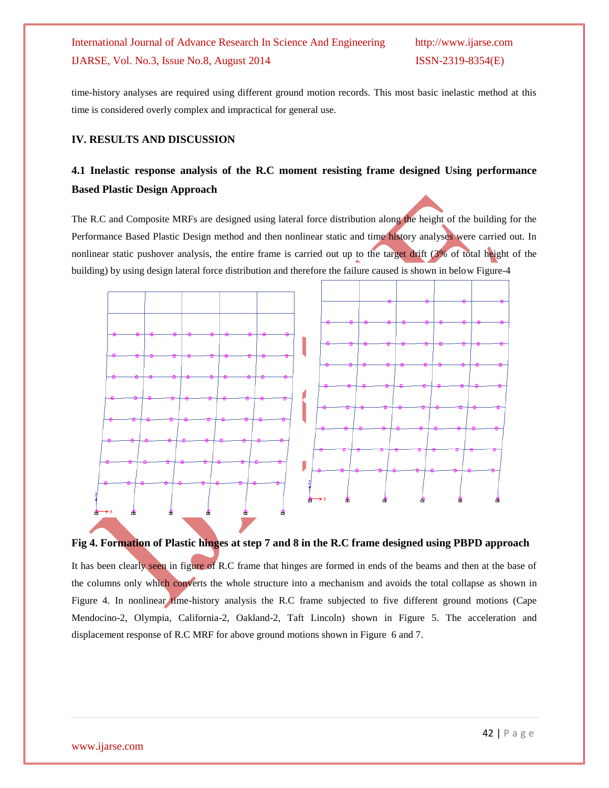time-history analyses are required using different ground motion records. This most basic inelastic method at this time is considered overly complex and impractical for general use.

## **IV. RESULTS AND DISCUSSION**

## **4.1 Inelastic response analysis of the R.C moment resisting frame designed Using performance Based Plastic Design Approach**

The R.C and Composite MRFs are designed using lateral force distribution along the height of the building for the Performance Based Plastic Design method and then nonlinear static and time history analyses were carried out. In nonlinear static pushover analysis, the entire frame is carried out up to the target drift (3% of total height of the building) by using design lateral force distribution and therefore the failure caused is shown in below Figure-4



## **Fig 4. Formation of Plastic hinges at step 7 and 8 in the R.C frame designed using PBPD approach**

It has been clearly seen in figure of R.C frame that hinges are formed in ends of the beams and then at the base of the columns only which converts the whole structure into a mechanism and avoids the total collapse as shown in Figure 4. In nonlinear time-history analysis the R.C frame subjected to five different ground motions (Cape Mendocino-2, Olympia, California-2, Oakland-2, Taft Lincoln) shown in Figure 5. The acceleration and displacement response of R.C MRF for above ground motions shown in Figure 6 and 7.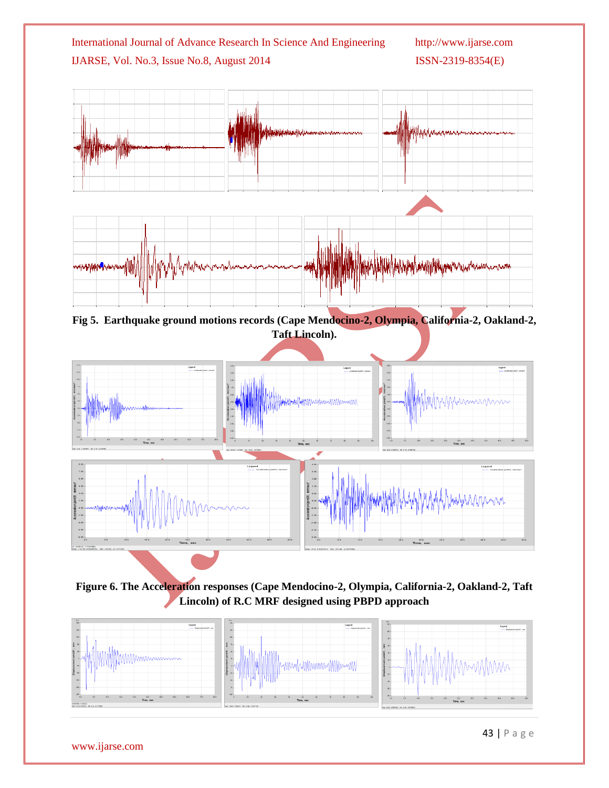



**Fig 5. Earthquake ground motions records (Cape Mendocino-2, Olympia, California-2, Oakland-2, Taft Lincoln).**



**Figure 6. The Acceleration responses (Cape Mendocino-2, Olympia, California-2, Oakland-2, Taft Lincoln) of R.C MRF designed using PBPD approach**



www.ijarse.com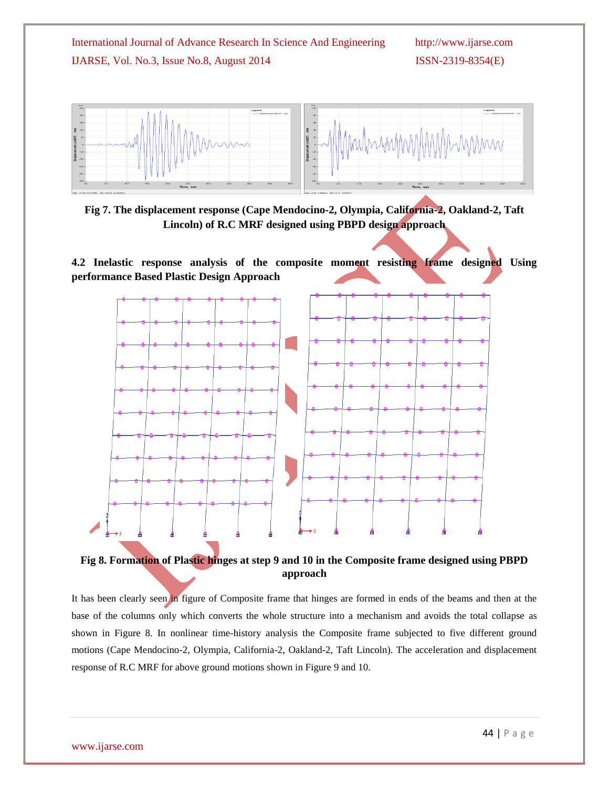

**Fig 7. The displacement response (Cape Mendocino-2, Olympia, California-2, Oakland-2, Taft Lincoln) of R.C MRF designed using PBPD design approach**

**4.2 Inelastic response analysis of the composite moment resisting frame designed Using performance Based Plastic Design Approach**



**Fig 8. Formation of Plastic hinges at step 9 and 10 in the Composite frame designed using PBPD approach**

It has been clearly seen in figure of Composite frame that hinges are formed in ends of the beams and then at the base of the columns only which converts the whole structure into a mechanism and avoids the total collapse as shown in Figure 8. In nonlinear time-history analysis the Composite frame subjected to five different ground motions (Cape Mendocino-2, Olympia, California-2, Oakland-2, Taft Lincoln). The acceleration and displacement response of R.C MRF for above ground motions shown in Figure 9 and 10.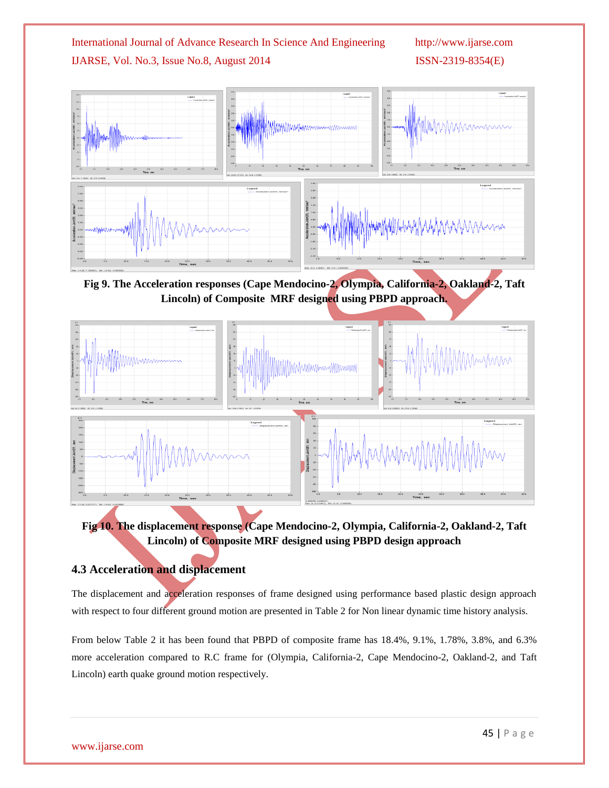

**Fig 9. The Acceleration responses (Cape Mendocino-2, Olympia, California-2, Oakland-2, Taft Lincoln) of Composite MRF designed using PBPD approach.**



**Fig 10. The displacement response (Cape Mendocino-2, Olympia, California-2, Oakland-2, Taft Lincoln) of Composite MRF designed using PBPD design approach**

## **4.3 Acceleration and displacement**

The displacement and acceleration responses of frame designed using performance based plastic design approach with respect to four different ground motion are presented in Table 2 for Non linear dynamic time history analysis.

From below Table 2 it has been found that PBPD of composite frame has 18.4%, 9.1%, 1.78%, 3.8%, and 6.3% more acceleration compared to R.C frame for (Olympia, California-2, Cape Mendocino-2, Oakland-2, and Taft Lincoln) earth quake ground motion respectively.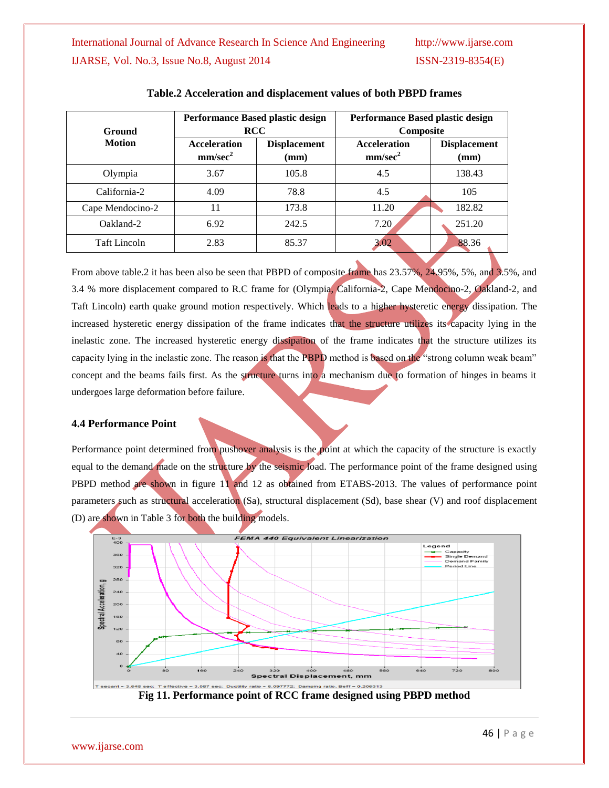|                         | <b>Performance Based plastic design</b><br><b>RCC</b> |                             |                                                         |                                        |  | <b>Performance Based plastic design</b> |  |
|-------------------------|-------------------------------------------------------|-----------------------------|---------------------------------------------------------|----------------------------------------|--|-----------------------------------------|--|
| Ground<br><b>Motion</b> | <b>Acceleration</b><br>mm/sec <sup>2</sup>            | <b>Displacement</b><br>(mm) | Composite<br><b>Acceleration</b><br>mm/sec <sup>2</sup> | <b>Displacement</b><br>$(\mathbf{mm})$ |  |                                         |  |
| Olympia                 | 3.67                                                  | 105.8                       | 4.5                                                     | 138.43                                 |  |                                         |  |
| California-2            | 4.09                                                  | 78.8                        | 4.5                                                     | 105                                    |  |                                         |  |
| Cape Mendocino-2        | 11                                                    | 173.8                       | 11.20                                                   | 182.82                                 |  |                                         |  |
| Oakland-2               | 6.92                                                  | 242.5                       | 7.20                                                    | 251.20                                 |  |                                         |  |
| <b>Taft Lincoln</b>     | 2.83                                                  | 85.37                       | 3.02                                                    | 88.36                                  |  |                                         |  |

## **Table.2 Acceleration and displacement values of both PBPD frames**

From above table.2 it has been also be seen that PBPD of composite frame has 23.57%, 24.95%, 5%, and 3.5%, and 3.4 % more displacement compared to R.C frame for (Olympia, California-2, Cape Mendocino-2, Oakland-2, and Taft Lincoln) earth quake ground motion respectively. Which leads to a higher hysteretic energy dissipation. The increased hysteretic energy dissipation of the frame indicates that the structure utilizes its capacity lying in the inelastic zone. The increased hysteretic energy dissipation of the frame indicates that the structure utilizes its capacity lying in the inelastic zone. The reason is that the PBPD method is based on the "strong column weak beam" concept and the beams fails first. As the structure turns into a mechanism due to formation of hinges in beams it undergoes large deformation before failure.

## **4.4 Performance Point**

Performance point determined from pushover analysis is the point at which the capacity of the structure is exactly equal to the demand made on the structure by the seismic load. The performance point of the frame designed using PBPD method are shown in figure 11 and 12 as obtained from ETABS-2013. The values of performance point parameters such as structural acceleration (Sa), structural displacement (Sd), base shear (V) and roof displacement (D) are shown in Table 3 for both the building models.



**Fig 11. Performance point of RCC frame designed using PBPD method**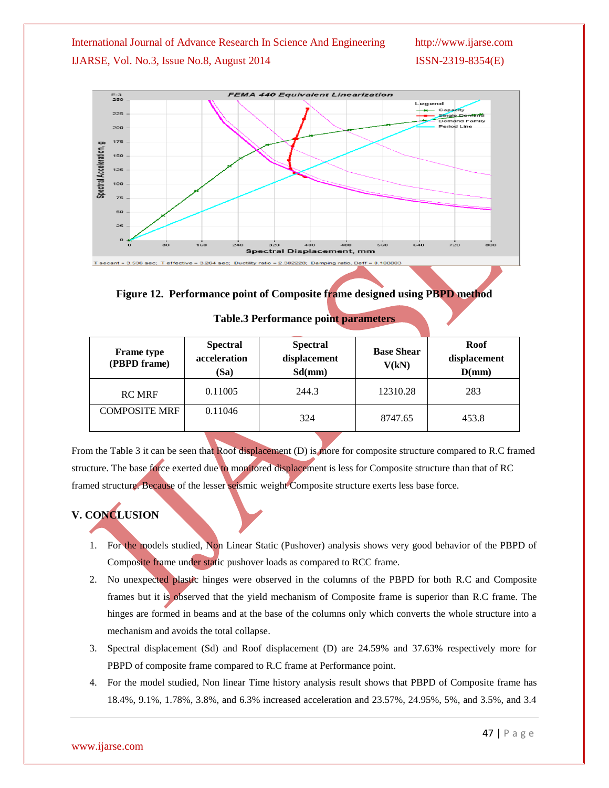

**Figure 12. Performance point of Composite frame designed using PBPD method**

| <b>Frame</b> type<br>(PBPD frame) | <b>Spectral</b><br>acceleration<br>(Sa) | <b>Spectral</b><br>displacement<br>Sd(mm) | <b>Base Shear</b><br>V(kN) | Roof<br>displacement<br>D(mm) |
|-----------------------------------|-----------------------------------------|-------------------------------------------|----------------------------|-------------------------------|
| <b>RC MRF</b>                     | 0.11005                                 | 244.3                                     | 12310.28                   | 283                           |
| <b>COMPOSITE MRF</b>              | 0.11046                                 | 324                                       | 8747.65                    | 453.8                         |

| <b>Table.3 Performance point parameters</b> |  |  |  |  |
|---------------------------------------------|--|--|--|--|
|---------------------------------------------|--|--|--|--|

From the Table 3 it can be seen that Roof displacement (D) is more for composite structure compared to R.C framed structure. The base force exerted due to monitored displacement is less for Composite structure than that of RC framed structure. Because of the lesser seismic weight Composite structure exerts less base force.

## **V. CONCLUSION**

- 1. For the models studied, Non Linear Static (Pushover) analysis shows very good behavior of the PBPD of Composite frame under static pushover loads as compared to RCC frame.
- 2. No unexpected plastic hinges were observed in the columns of the PBPD for both R.C and Composite frames but it is observed that the yield mechanism of Composite frame is superior than R.C frame. The hinges are formed in beams and at the base of the columns only which converts the whole structure into a mechanism and avoids the total collapse.
- 3. Spectral displacement (Sd) and Roof displacement (D) are 24.59% and 37.63% respectively more for PBPD of composite frame compared to R.C frame at Performance point.
- 4. For the model studied, Non linear Time history analysis result shows that PBPD of Composite frame has 18.4%, 9.1%, 1.78%, 3.8%, and 6.3% increased acceleration and 23.57%, 24.95%, 5%, and 3.5%, and 3.4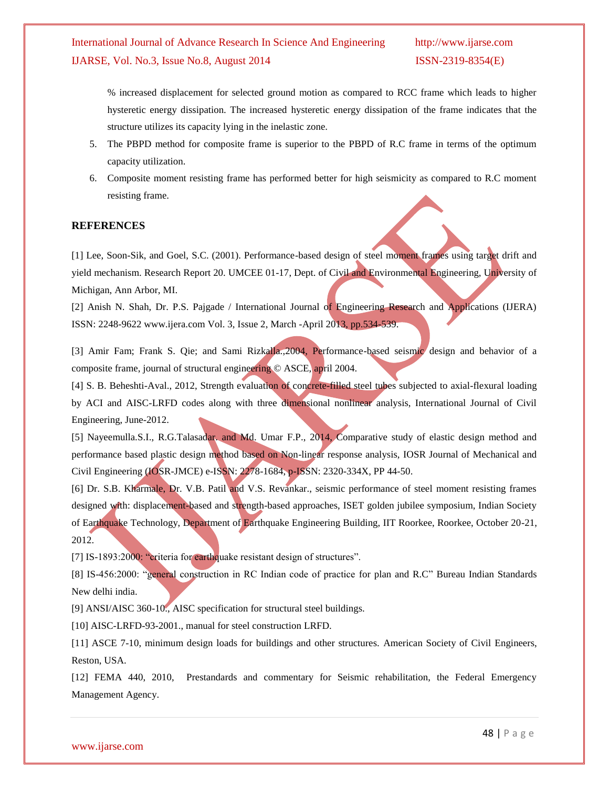% increased displacement for selected ground motion as compared to RCC frame which leads to higher hysteretic energy dissipation. The increased hysteretic energy dissipation of the frame indicates that the structure utilizes its capacity lying in the inelastic zone.

- 5. The PBPD method for composite frame is superior to the PBPD of R.C frame in terms of the optimum capacity utilization.
- 6. Composite moment resisting frame has performed better for high seismicity as compared to R.C moment resisting frame.

#### **REFERENCES**

[1] Lee, Soon-Sik, and Goel, S.C. (2001). Performance-based design of steel moment frames using target drift and yield mechanism. Research Report 20. UMCEE 01-17, Dept. of Civil and Environmental Engineering, University of Michigan, Ann Arbor, MI.

[2] Anish N. Shah, Dr. P.S. Pajgade / International Journal of Engineering Research and Applications (IJERA) ISSN: 2248-9622 www.ijera.com Vol. 3, Issue 2, March -April 2013, pp.534-539.

[3] Amir Fam; Frank S. Qie; and Sami Rizkalla.,2004, Performance-based seismic design and behavior of a composite frame, journal of structural engineering © ASCE, april 2004.

[4] S. B. Beheshti-Aval., 2012, Strength evaluation of concrete-filled steel tubes subjected to axial-flexural loading by ACI and AISC-LRFD codes along with three dimensional nonlinear analysis, International Journal of Civil Engineering, June-2012.

[5] Nayeemulla.S.I., R.G.Talasadar, and Md. Umar F.P., 2014, Comparative study of elastic design method and performance based plastic design method based on Non-linear response analysis, IOSR Journal of Mechanical and Civil Engineering (IOSR-JMCE) e-ISSN: 2278-1684, p-ISSN: 2320-334X, PP 44-50.

[6] Dr. S.B. Kharmale, Dr. V.B. Patil and V.S. Revankar., seismic performance of steel moment resisting frames designed with: displacement-based and strength-based approaches, ISET golden jubilee symposium, Indian Society of Earthquake Technology, Department of Earthquake Engineering Building, IIT Roorkee, Roorkee, October 20-21, 2012.

[7] IS-1893:2000: "criteria for earthquake resistant design of structures".

[8] IS-456:2000: "general construction in RC Indian code of practice for plan and R.C" Bureau Indian Standards New delhi india.

[9] ANSI/AISC 360-10., AISC specification for structural steel buildings.

[10] AISC-LRFD-93-2001., manual for steel construction LRFD.

[11] ASCE 7-10, minimum design loads for buildings and other structures. American Society of Civil Engineers, Reston, USA.

[12] FEMA 440, 2010, Prestandards and commentary for Seismic rehabilitation, the Federal Emergency Management Agency.